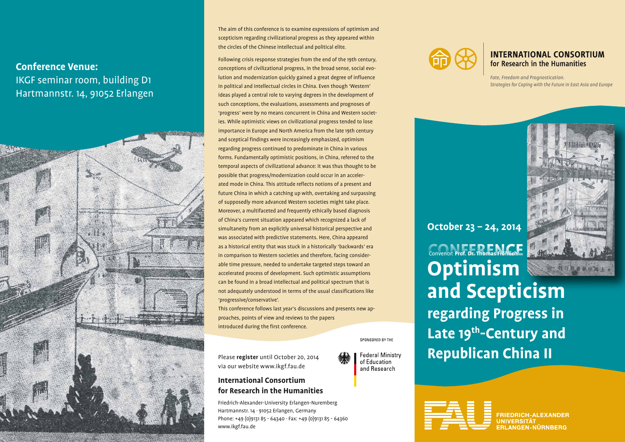# **Conference Venue:**

IKGF seminar room, building D1 Hartmannstr. 14, 91052 Erlangen



The aim of this conference is to examine expressions of optimism and scepticism regarding civilizational progress as they appeared within the circles of the Chinese intellectual and political elite.

Following crisis response strategies from the end of the 19th century, conceptions of civilizational progress, in the broad sense, social evolution and modernization quickly gained a great degree of influence in political and intellectual circles in China. Even though 'Western' ideas played a central role to varying degrees in the development of such conceptions, the evaluations, assessments and prognoses of 'progress' were by no means concurrent in China and Western societies. While optimistic views on civilizational progress tended to lose importance in Europe and North America from the late 19th century and sceptical findings were increasingly emphasized, optimism regarding progress continued to predominate in China in various forms. Fundamentally optimistic positions, in China, referred to the temporal aspects of civilizational advance: it was thus thought to be possible that progress/modernization could occur in an accelerated mode in China. This attitude reflects notions of a present and future China in which a catching up with, overtaking and surpassing of supposedly more advanced Western societies might take place. Moreover, a multifaceted and frequently ethically based diagnosis of China's current situation appeared which recognized a lack of simultaneity from an explicitly universal historical perspective and was associated with predictive statements. Here, China appeared as a historical entity that was stuck in a historically 'backwards' era in comparison to Western societies and therefore, facing considerable time pressure, needed to undertake targeted steps toward an accelerated process of development. Such optimistic assumptions can be found in a broad intellectual and political spectrum that is not adequately understood in terms of the usual classifications like 'progressive/conservative'.

This conference follows last year's discussions and presents new approaches, points of view and reviews to the papers introduced during the first conference.

SPONSORED BY THE

**Federal Ministry** of Education and Research

Please **register** until October 20, 2014 via our website www.ikgf.fau.de

## **International Consortium for Research in the Humanities**

Friedrich-Alexander-University Erlangen-Nuremberg Hartmannstr. 14 · 91052 Erlangen, Germany Phone: +49 (0)9131 85 - 64340 · Fax: +49 (0)9131 85 - 64360 www.ikgf.fau.de



## **INTERNATIONAL CONSORTIUM** for Research in the Humanities

*Fate, Freedom and Prognostication. Strategies for Coping with the Future in East Asia and Europe*



**CONFERENCE** Convenor: **Prof. Dr. Thomas Fröhlich Optimism and Scepticism regarding Progress in**  Late 19<sup>th</sup>-Century and **Republican China II October 23 – 24, 2014**